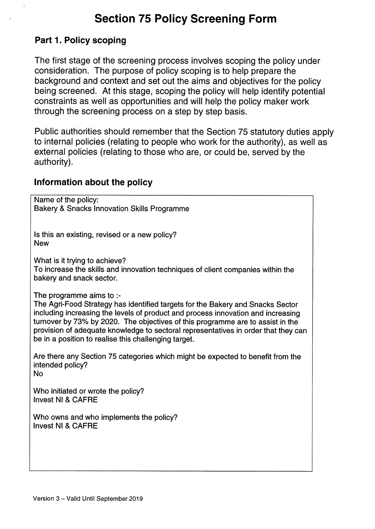# Section 75 Policy Screening Form

#### Part 1. Policy scoping

The first stage of the screening process involves scoping the policy under consideration. The purpose of policy scoping is to help prepare the background and context and set out the aims and objectives for the policy being screened. At this stage, scoping the policy will help identify potential constraints as well as opportunities and will help the policy maker work through the screening process on a step by step basis.

Public authorities should remember that the Section 75 statutory duties apply to internal policies (relating to people who work for the authority), as well as external policies (relating to those who are, or could be, served by the authority).

#### Information about the policy

Name of the policy: Bakery & Snacks Innovation Skills Programme

Is this an existing, revised or a new policy? New

What is it trying to achieve?

To increase the skills and innovation techniques of client companies within the bakery and snack sector.

The programme aims to :-

The Agri-Food Strategy has identified targets for the Bakery and Snacks Sector including increasing the levels of product and process innovation and increasing turnover by 73% by 2020. The objectives of this programme are to assist in the provision of adequate knowledge to sectoral representatives in order that they can be in a position to realise this challenging target.

Are there any Section 75 categories which might be expected to benefit from the intended policy? No

Who initiated or wrote the policy? Invest NI & CAERE

Who owns and who implements the policy? Invest NI & CAERE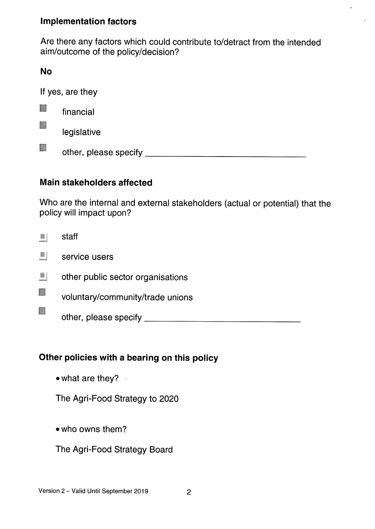### Implementation factors

Are there any factors which could contribute to/detract from the intended aim/outcome of the policy/decision?

### No

If yes, are they r. financial **MA** legislative other, please specify

# Main stakeholders affected

Who are the internal and external stakeholders (actual or potential) that the policy will impact upon?

 $\blacksquare$  staff

- service users
- other public sector organisations
- voluntary/community/trade unions
	- other, please specify

# Other policies with <sup>a</sup> bearing on this policy

 $\bullet$  what are they?

The Agri-Food Strategy to 2020

- who owns them?
- The Agri-Food Strategy Board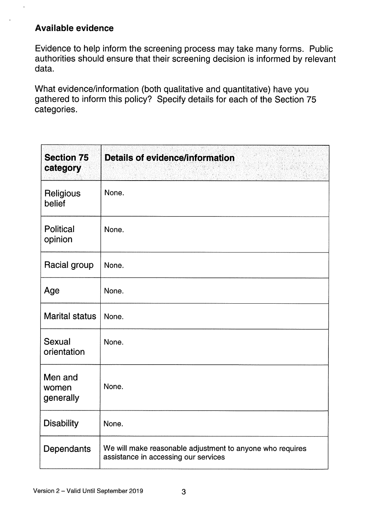### Available evidence

Evidence to help inform the screening process may take many forms. Public authorities should ensure that their screening decision is informed by relevant data.

What evidence/information (both qualitative and quantitative) have you gathered to inform this policy? Specify details for each of the Section 75 categories.

| <b>Section 75</b><br>category | <b>Details of evidence/information</b>                                                            |
|-------------------------------|---------------------------------------------------------------------------------------------------|
| Religious<br>belief           | None.                                                                                             |
| <b>Political</b><br>opinion   | None.                                                                                             |
| Racial group                  | None.                                                                                             |
| Age                           | None.                                                                                             |
| <b>Marital status</b>         | None.                                                                                             |
| Sexual<br>orientation         | None.                                                                                             |
| Men and<br>women<br>generally | None.                                                                                             |
| <b>Disability</b>             | None.                                                                                             |
| Dependants                    | We will make reasonable adjustment to anyone who requires<br>assistance in accessing our services |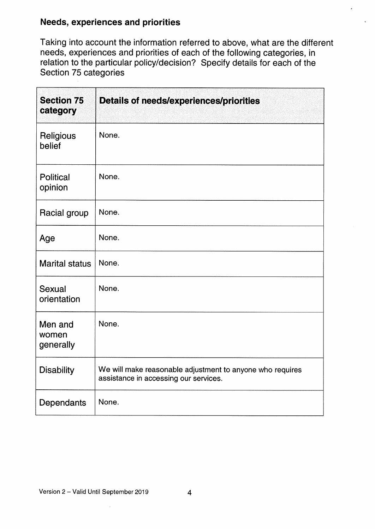# Needs, experiences and priorities

Taking into account the information referred to above, what are the different needs, experiences and priorities of each of the following categories, in relation to the particular policy/decision? Specify details for each of the Section 75 categories

| <b>Section 75</b><br>category | <b>Details of needs/experiences/priorities</b>                                                     |
|-------------------------------|----------------------------------------------------------------------------------------------------|
| Religious<br>belief           | None.                                                                                              |
| <b>Political</b><br>opinion   | None.                                                                                              |
| Racial group                  | None.                                                                                              |
| Age                           | None.                                                                                              |
| <b>Marital status</b>         | None.                                                                                              |
| Sexual<br>orientation         | None.                                                                                              |
| Men and<br>women<br>generally | None.                                                                                              |
| <b>Disability</b>             | We will make reasonable adjustment to anyone who requires<br>assistance in accessing our services. |
| Dependants                    | None.                                                                                              |

 $\bar{z}$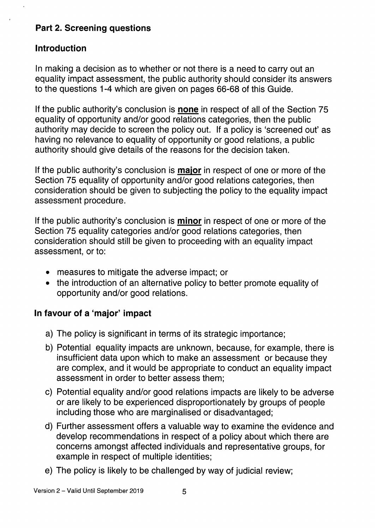# Part 2. Screening questions

#### Introduction

In making a decision as to whether or not there is a need to carry out an equality impact assessment, the public authority should consider its answers to the questions 1-4 which are given on pages 66-68 of this Guide.

If the public authority's conclusion is **none** in respect of all of the Section 75 equality of opportunity and/or good relations categories, then the public authority may decide to screen the policy out. If a policy is 'screened out' as having no relevance to equality of opportunity or good relations, a public authority should give details of the reasons for the decision taken.

If the public authority's conclusion is **major** in respect of one or more of the Section 75 equality of opportunity and/or good relations categories, then consideration should be given to subjecting the policy to the equality impact assessment procedure.

If the public authority's conclusion is **minor** in respect of one or more of the Section 75 equality categories and/or good relations categories, then consideration should still be given to proceeding with an equality impact assessment, or to:

- measures to mitigate the adverse impact; or
- the introduction of an alternative policy to better promote equality of opportunity and/or good relations.

# In favour of a 'major' impact

- a) The policy is significant in terms of its strategic importance;
- b) Potential equality impacts are unknown, because, for example, there is insufficient data upon which to make an assessment or because they are complex, and it would be appropriate to conduct an equality impact assessment in order to better assess them;
- c) Potential equality and/or good relations impacts are likely to be adverse or are likely to be experienced disproportionately by groups of people including those who are marginalised or disadvantaged;
- d) Further assessment offers a valuable way to examine the evidence and develop recommendations in respect of a policy about which there are concerns amongst affected individuals and representative groups, for example in respect of multiple identities;
- e) The policy is likely to be challenged by way of judicial review;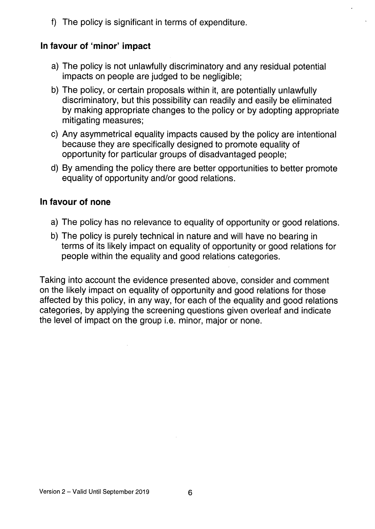f) The policy is significant in terms of expenditure.

#### In favour of 'minor' impact

- a) The policy is not unlawfully discriminatory and any residual potential impacts on people are judged to be negligible;
- b) The policy, or certain proposals within it, are potentially unlawfully discriminatory, but this possibility can readily and easily be eliminated by making appropriate changes to the policy or by adopting appropriate mitigating measures;
- c) Any asymmetrical equality impacts caused by the policy are intentional because they are specifically designed to promote equality of opportunity for particular groups of disadvantaged people;
- d) By amending the policy there are better opportunities to better promote equality of opportunity and/or good relations.

### In favour of none

- a) The policy has no relevance to equality of opportunity or good relations.
- b) The policy is purely technical in nature and will have no bearing in terms of its likely impact on equality of opportunity or good relations for people within the equality and good relations categories.

Taking into account the evidence presented above, consider and comment on the likely impact on equality of opportunity and good relations for those affected by this policy, in any way, for each of the equality and good relations categories, by applying the screening questions given overleaf and indicate the level of impact on the group i.e. minor, major or none.

 $\bar{1}$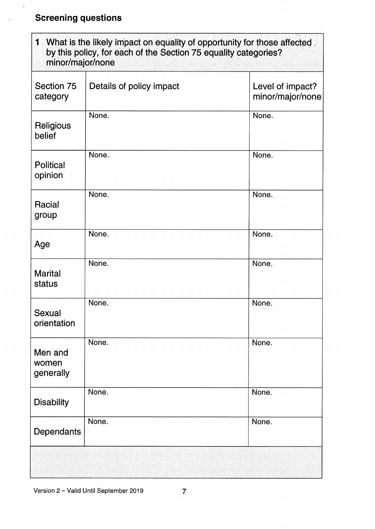# Screening questions

 $\epsilon$ 

 $\overline{z}$ 

| minor/major/none              | 1 What is the likely impact on equality of opportunity for those affected<br>by this policy, for each of the Section 75 equality categories? |                                      |
|-------------------------------|----------------------------------------------------------------------------------------------------------------------------------------------|--------------------------------------|
| Section 75<br>category        | Details of policy impact                                                                                                                     | Level of impact?<br>minor/major/none |
| Religious<br>belief           | None.                                                                                                                                        | None.                                |
| <b>Political</b><br>opinion   | None.                                                                                                                                        | None.                                |
| Racial<br>group               | None.                                                                                                                                        | None.                                |
| Age                           | None.                                                                                                                                        | None.                                |
| <b>Marital</b><br>status      | None.                                                                                                                                        | None.                                |
| Sexual<br>orientation         | None.                                                                                                                                        | None.                                |
| Men and<br>women<br>generally | None.                                                                                                                                        | None.                                |
| <b>Disability</b>             | None.                                                                                                                                        | None.                                |
| Dependants                    | None.                                                                                                                                        | None.                                |
|                               |                                                                                                                                              |                                      |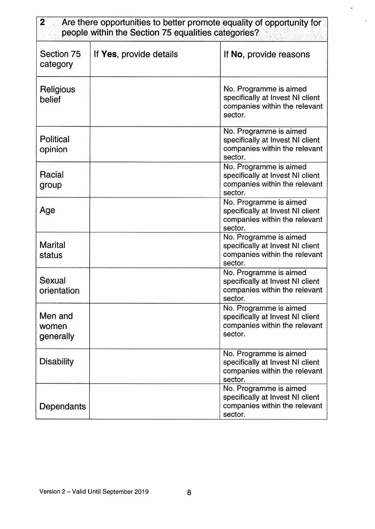### **2** Are there opportunities to better promote equality of opportunity for people within the Section 75 equalities categories?

| Section 75<br>category        | If Yes, provide details | If No, provide reasons                                                                                 |  |
|-------------------------------|-------------------------|--------------------------------------------------------------------------------------------------------|--|
| Religious<br>belief           |                         | No. Programme is aimed<br>specifically at Invest NI client<br>companies within the relevant<br>sector. |  |
| <b>Political</b><br>opinion   |                         | No. Programme is aimed<br>specifically at Invest NI client<br>companies within the relevant<br>sector. |  |
| Racial<br>group               |                         | No. Programme is aimed<br>specifically at Invest NI client<br>companies within the relevant<br>sector. |  |
| Age                           |                         | No. Programme is aimed<br>specifically at Invest NI client<br>companies within the relevant<br>sector. |  |
| <b>Marital</b><br>status      |                         | No. Programme is aimed<br>specifically at Invest NI client<br>companies within the relevant<br>sector. |  |
| Sexual<br>orientation         |                         | No. Programme is aimed<br>specifically at Invest NI client<br>companies within the relevant<br>sector. |  |
| Men and<br>women<br>generally |                         | No. Programme is aimed<br>specifically at Invest NI client<br>companies within the relevant<br>sector. |  |
| <b>Disability</b>             |                         | No. Programme is aimed<br>specifically at Invest NI client<br>companies within the relevant<br>sector. |  |
| Dependants                    |                         | No. Programme is aimed<br>specifically at Invest NI client<br>companies within the relevant<br>sector. |  |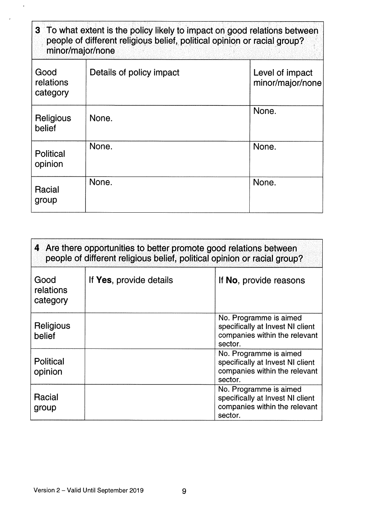| 3 To what extent is the policy likely to impact on good relations between<br>people of different religious belief, political opinion or racial group?<br>minor/major/none |                          |                                     |
|---------------------------------------------------------------------------------------------------------------------------------------------------------------------------|--------------------------|-------------------------------------|
| Good<br>relations<br>category                                                                                                                                             | Details of policy impact | Level of impact<br>minor/major/none |
| Religious<br>belief                                                                                                                                                       | None.                    | None.                               |
| <b>Political</b><br>opinion                                                                                                                                               | None.                    | None.                               |
| Racial<br>group                                                                                                                                                           | None.                    | None.                               |

| 4 Are there opportunities to better promote good relations between<br>people of different religious belief, political opinion or racial group? |                         |                                                                                                        |
|------------------------------------------------------------------------------------------------------------------------------------------------|-------------------------|--------------------------------------------------------------------------------------------------------|
| Good<br>relations<br>category                                                                                                                  | If Yes, provide details | If No, provide reasons                                                                                 |
| Religious<br>belief                                                                                                                            |                         | No. Programme is aimed<br>specifically at Invest NI client<br>companies within the relevant<br>sector. |
| Political<br>opinion                                                                                                                           |                         | No. Programme is aimed<br>specifically at Invest NI client<br>companies within the relevant<br>sector. |
| <b>Racial</b><br>group                                                                                                                         |                         | No. Programme is aimed<br>specifically at Invest NI client<br>companies within the relevant<br>sector. |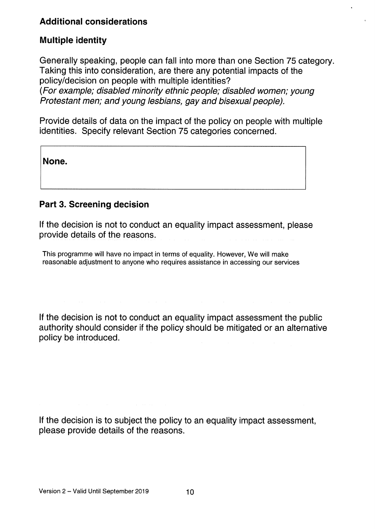# Additional considerations

#### Multiple identity

Generally speaking, people can fall into more than one Section 75 category. Taking this into consideration, are there any potential impacts of the policy/decision on people with multiple identities? (For example; disabled minority ethnic people, disabled women; young Protestant men; and young lesbians, gay and bisexual people).

Provide details of data on the impact of the policy on people with multiple identities. Specify relevant Section 75 categories concerned.

None.

#### Part 3. Screening decision

If the decision is not to conduct an equality impact assessment, please provide details of the reasons.

This programme will have no impact in terms of equality. However, We will make reasonable adjustment to anyone who requires assistance in accessing our services

If the decision is not to conduct an equality impact assessment the public authority should consider if the policy should be mitigated or an alternative policy be introduced.

If the decision is to subject the policy to an equality impact assessment, please provide details of the reasons.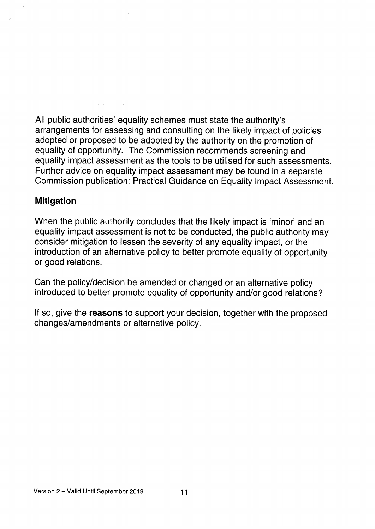All public authorities' equality schemes must state the authority's arrangements for assessing and consulting on the likely impact of policies adopted or proposed to be adopted by the authority on the promotion of equality of opportunity. The Commission recommends screening and equality impact assessment as the tools to be utilised for such assessments. Further advice on equality impact assessment may be found in a separate Commission publication: Practical Guidance on Equality Impact Assessment.

#### Mitigation

When the public authority concludes that the likely impact is 'minor' and an equality impact assessment is not to be conducted, the public authority may consider mitigation to lessen the severity of any equality impact, or the introduction of an alternative policy to better promote equality of opportunity or good relations.

Can the policy/decision be amended or changed or an alternative policy introduced to better promote equality of opportunity and/or good relations?

If so, give the reasons to support your decision, together with the proposed changes/amendments or alternative policy.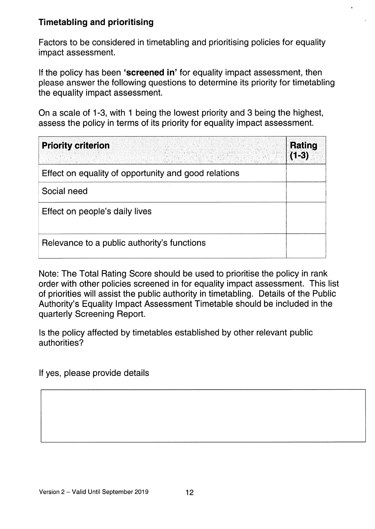# Timetabling and prioritising

Factors to be considered in timetabling and prioritising policies for equality impact assessment.

If the policy has been 'screened in' for equality impact assessment, then please answer the following questions to determine its priority for timetabling the equality impact assessment.

On a scale of 1-3, with <sup>1</sup> being the lowest priority and 3 being the highest, assess the policy in terms of its priority for equality impact assessment.

| <b>Priority criterion</b>                            | <b>Rating</b><br>$(1-3)$ |
|------------------------------------------------------|--------------------------|
| Effect on equality of opportunity and good relations |                          |
| Social need                                          |                          |
| Effect on people's daily lives                       |                          |
| Relevance to a public authority's functions          |                          |

Note: The Total Rating Score should be used to prioritise the policy in rank order with other policies screened in for equality impact assessment. This list of priorities will assist the public authority in timetabling. Details of the Public Authority's Equality Impact Assessment Timetable should be included in the quarterly Screening Report.

Is the policy affected by timetables established by other relevant public authorities?

If yes, please provide details